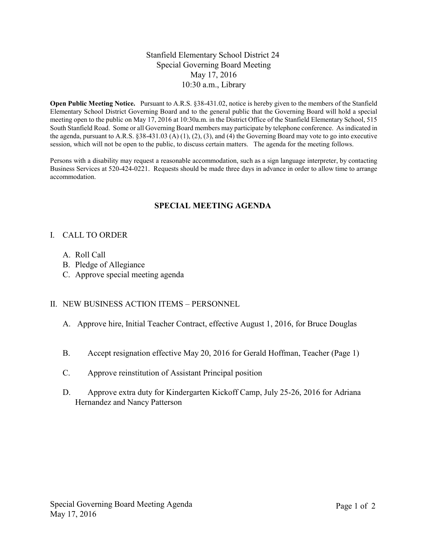## Stanfield Elementary School District 24 Special Governing Board Meeting May 17, 2016 10:30 a.m., Library

**Open Public Meeting Notice.** Pursuant to A.R.S. §38-431.02, notice is hereby given to the members of the Stanfield Elementary School District Governing Board and to the general public that the Governing Board will hold a special meeting open to the public on May 17, 2016 at 10:30a.m. in the District Office of the Stanfield Elementary School, 515 South Stanfield Road. Some or all Governing Board members may participate by telephone conference. As indicated in the agenda, pursuant to A.R.S. §38-431.03 (A) (1), (2), (3), and (4) the Governing Board may vote to go into executive session, which will not be open to the public, to discuss certain matters. The agenda for the meeting follows.

Persons with a disability may request a reasonable accommodation, such as a sign language interpreter, by contacting Business Services at 520-424-0221. Requests should be made three days in advance in order to allow time to arrange accommodation.

# **SPECIAL MEETING AGENDA**

## I. CALL TO ORDER

- A. Roll Call
- B. Pledge of Allegiance
- C. Approve special meeting agenda

## II. NEW BUSINESS ACTION ITEMS – PERSONNEL

- A. Approve hire, Initial Teacher Contract, effective August 1, 2016, for Bruce Douglas
- B. Accept resignation effective May 20, 2016 for Gerald Hoffman, Teacher (Page 1)
- C. Approve reinstitution of Assistant Principal position
- D. Approve extra duty for Kindergarten Kickoff Camp, July 25-26, 2016 for Adriana Hernandez and Nancy Patterson